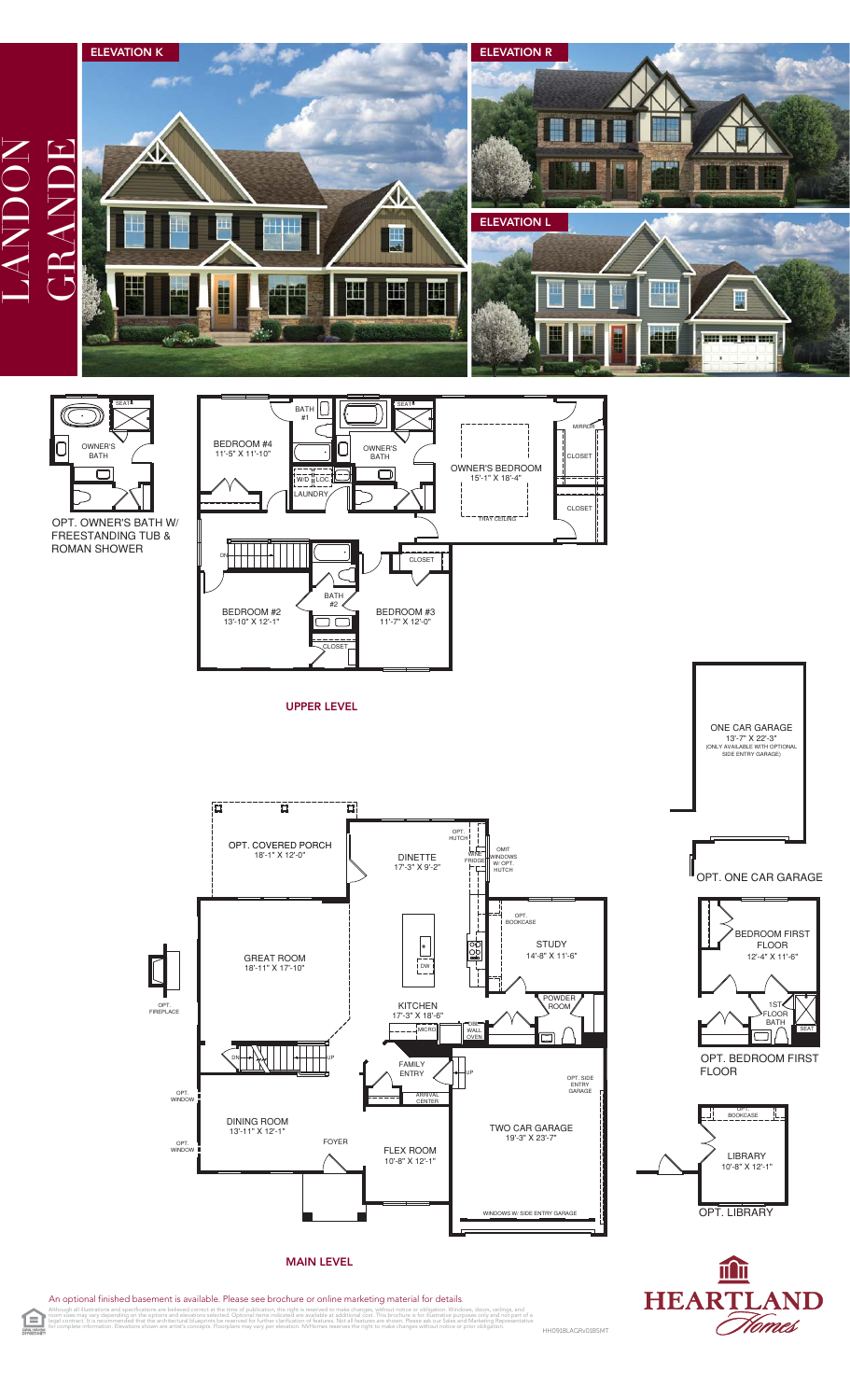

An optional finished basement is available. Please see brochure or online marketing material for details.<br>Athough all illustratives and specifications are believed correct at the time of publication, the right is reserved Although all illustrations and specifications are believed correct at the time of publication, the right is reserved to make changes, without notice or obligation. Windows, doors, cellings, and<br>legal contract, its recommen

Flomes